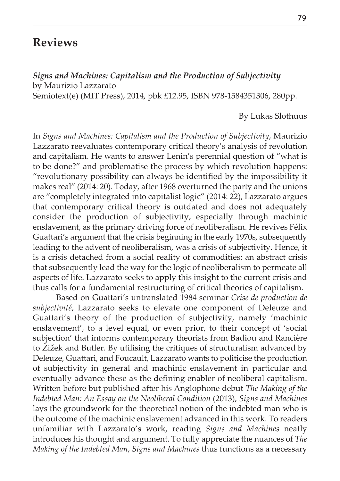## **Reviews**

*Signs and Machines: Capitalism and the Production of Subjectivity* by Maurizio Lazzarato

Semiotext(e) (MIT Press), 2014, pbk £12.95, ISBN 978-1584351306, 280pp.

## By Lukas Slothuus

In *Signs and Machines: Capitalism and the Production of Subjectivity*, Maurizio Lazzarato reevaluates contemporary critical theory's analysis of revolution and capitalism. He wants to answer Lenin's perennial question of "what is to be done?" and problematise the process by which revolution happens: "revolutionary possibility can always be identified by the impossibility it makes real" (2014: 20). Today, after 1968 overturned the party and the unions are "completely integrated into capitalist logic" (2014: 22), Lazzarato argues that contemporary critical theory is outdated and does not adequately consider the production of subjectivity, especially through machinic enslavement, as the primary driving force of neoliberalism. He revives Félix Guattari's argument that the crisis beginning in the early 1970s, subsequently leading to the advent of neoliberalism, was a crisis of subjectivity. Hence, it is a crisis detached from a social reality of commodities; an abstract crisis that subsequently lead the way for the logic of neoliberalism to permeate all aspects of life. Lazzarato seeks to apply this insight to the current crisis and thus calls for a fundamental restructuring of critical theories of capitalism.

Based on Guattari's untranslated 1984 seminar *Crise de production de subjectivité*, Lazzarato seeks to elevate one component of Deleuze and Guattari's theory of the production of subjectivity, namely 'machinic enslavement', to a level equal, or even prior, to their concept of 'social subjection' that informs contemporary theorists from Badiou and Rancière to Žižek and Butler. By utilising the critiques of structuralism advanced by Deleuze, Guattari, and Foucault, Lazzarato wants to politicise the production of subjectivity in general and machinic enslavement in particular and eventually advance these as the defining enabler of neoliberal capitalism. Written before but published after his Anglophone debut *The Making of the Indebted Man: An Essay on the Neoliberal Condition* (2013), *Signs and Machines* lays the groundwork for the theoretical notion of the indebted man who is the outcome of the machinic enslavement advanced in this work. To readers unfamiliar with Lazzarato's work, reading *Signs and Machines* neatly introduces his thought and argument. To fully appreciate the nuances of *The Making of the Indebted Man*, *Signs and Machines* thus functions as a necessary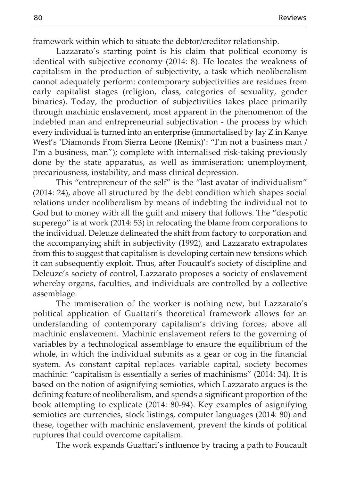framework within which to situate the debtor/creditor relationship.

Lazzarato's starting point is his claim that political economy is identical with subjective economy (2014: 8). He locates the weakness of capitalism in the production of subjectivity, a task which neoliberalism cannot adequately perform: contemporary subjectivities are residues from early capitalist stages (religion, class, categories of sexuality, gender binaries). Today, the production of subjectivities takes place primarily through machinic enslavement, most apparent in the phenomenon of the indebted man and entrepreneurial subjectivation - the process by which every individual is turned into an enterprise (immortalised by Jay Z in Kanye West's 'Diamonds From Sierra Leone (Remix)': "I'm not a business man / I'm a business, man"); complete with internalised risk-taking previously done by the state apparatus, as well as immiseration: unemployment, precariousness, instability, and mass clinical depression.

This "entrepreneur of the self" is the "last avatar of individualism" (2014: 24), above all structured by the debt condition which shapes social relations under neoliberalism by means of indebting the individual not to God but to money with all the guilt and misery that follows. The "despotic superego" is at work (2014: 53) in relocating the blame from corporations to the individual. Deleuze delineated the shift from factory to corporation and the accompanying shift in subjectivity (1992), and Lazzarato extrapolates from this to suggest that capitalism is developing certain new tensions which it can subsequently exploit. Thus, after Foucault's society of discipline and Deleuze's society of control, Lazzarato proposes a society of enslavement whereby organs, faculties, and individuals are controlled by a collective assemblage.

The immiseration of the worker is nothing new, but Lazzarato's political application of Guattari's theoretical framework allows for an understanding of contemporary capitalism's driving forces; above all machinic enslavement. Machinic enslavement refers to the governing of variables by a technological assemblage to ensure the equilibrium of the whole, in which the individual submits as a gear or cog in the financial system. As constant capital replaces variable capital, society becomes machinic: "capitalism is essentially a series of machinisms" (2014: 34). It is based on the notion of asignifying semiotics, which Lazzarato argues is the defining feature of neoliberalism, and spends a significant proportion of the book attempting to explicate (2014: 80-94). Key examples of asignifying semiotics are currencies, stock listings, computer languages (2014: 80) and these, together with machinic enslavement, prevent the kinds of political ruptures that could overcome capitalism.

The work expands Guattari's influence by tracing a path to Foucault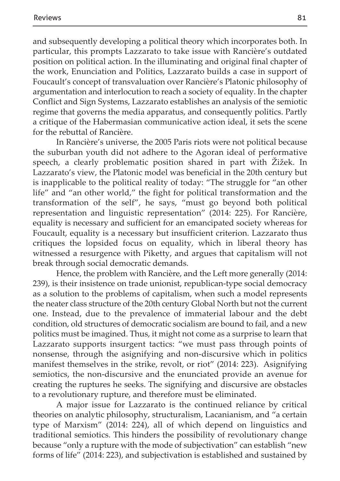and subsequently developing a political theory which incorporates both. In particular, this prompts Lazzarato to take issue with Rancière's outdated position on political action. In the illuminating and original final chapter of the work, Enunciation and Politics, Lazzarato builds a case in support of Foucault's concept of transvaluation over Rancière's Platonic philosophy of argumentation and interlocution to reach a society of equality. In the chapter Conflict and Sign Systems, Lazzarato establishes an analysis of the semiotic regime that governs the media apparatus, and consequently politics. Partly a critique of the Habermasian communicative action ideal, it sets the scene for the rebuttal of Rancière.

In Rancière's universe, the 2005 Paris riots were not political because the suburban youth did not adhere to the Agoran ideal of performative speech, a clearly problematic position shared in part with Žižek. In Lazzarato's view, the Platonic model was beneficial in the 20th century but is inapplicable to the political reality of today: "The struggle for "an other life" and "an other world," the fight for political transformation and the transformation of the self", he says, "must go beyond both political representation and linguistic representation" (2014: 225). For Rancière, equality is necessary and sufficient for an emancipated society whereas for Foucault, equality is a necessary but insufficient criterion. Lazzarato thus critiques the lopsided focus on equality, which in liberal theory has witnessed a resurgence with Piketty, and argues that capitalism will not break through social democratic demands.

Hence, the problem with Rancière, and the Left more generally (2014: 239), is their insistence on trade unionist, republican-type social democracy as a solution to the problems of capitalism, when such a model represents the neater class structure of the 20th century Global North but not the current one. Instead, due to the prevalence of immaterial labour and the debt condition, old structures of democratic socialism are bound to fail, and a new politics must be imagined. Thus, it might not come as a surprise to learn that Lazzarato supports insurgent tactics: "we must pass through points of nonsense, through the asignifying and non-discursive which in politics manifest themselves in the strike, revolt, or riot" (2014: 223). Asignifying semiotics, the non-discursive and the enunciated provide an avenue for creating the ruptures he seeks. The signifying and discursive are obstacles to a revolutionary rupture, and therefore must be eliminated.

A major issue for Lazzarato is the continued reliance by critical theories on analytic philosophy, structuralism, Lacanianism, and "a certain type of Marxism" (2014: 224), all of which depend on linguistics and traditional semiotics. This hinders the possibility of revolutionary change because "only a rupture with the mode of subjectivation" can establish "new forms of life" (2014: 223), and subjectivation is established and sustained by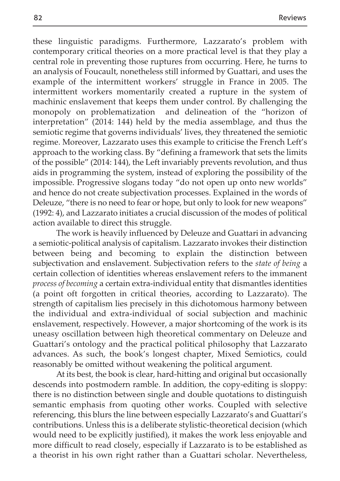these linguistic paradigms. Furthermore, Lazzarato's problem with contemporary critical theories on a more practical level is that they play a central role in preventing those ruptures from occurring. Here, he turns to an analysis of Foucault, nonetheless still informed by Guattari, and uses the example of the intermittent workers' struggle in France in 2005. The intermittent workers momentarily created a rupture in the system of machinic enslavement that keeps them under control. By challenging the monopoly on problematization and delineation of the "horizon of interpretation" (2014: 144) held by the media assemblage, and thus the semiotic regime that governs individuals' lives, they threatened the semiotic regime. Moreover, Lazzarato uses this example to criticise the French Left's approach to the working class. By "defining a framework that sets the limits of the possible" (2014: 144), the Left invariably prevents revolution, and thus aids in programming the system, instead of exploring the possibility of the impossible. Progressive slogans today "do not open up onto new worlds" and hence do not create subjectivation processes. Explained in the words of Deleuze, "there is no need to fear or hope, but only to look for new weapons" (1992: 4), and Lazzarato initiates a crucial discussion of the modes of political action available to direct this struggle.

The work is heavily influenced by Deleuze and Guattari in advancing a semiotic-political analysis of capitalism. Lazzarato invokes their distinction between being and becoming to explain the distinction between subjectivation and enslavement. Subjectivation refers to the *state of being* a certain collection of identities whereas enslavement refers to the immanent *process of becoming* a certain extra-individual entity that dismantles identities (a point oft forgotten in critical theories, according to Lazzarato). The strength of capitalism lies precisely in this dichotomous harmony between the individual and extra-individual of social subjection and machinic enslavement, respectively. However, a major shortcoming of the work is its uneasy oscillation between high theoretical commentary on Deleuze and Guattari's ontology and the practical political philosophy that Lazzarato advances. As such, the book's longest chapter, Mixed Semiotics, could reasonably be omitted without weakening the political argument.

At its best, the book is clear, hard-hitting and original but occasionally descends into postmodern ramble. In addition, the copy-editing is sloppy: there is no distinction between single and double quotations to distinguish semantic emphasis from quoting other works. Coupled with selective referencing, this blurs the line between especially Lazzarato's and Guattari's contributions. Unless this is a deliberate stylistic-theoretical decision (which would need to be explicitly justified), it makes the work less enjoyable and more difficult to read closely, especially if Lazzarato is to be established as a theorist in his own right rather than a Guattari scholar. Nevertheless,